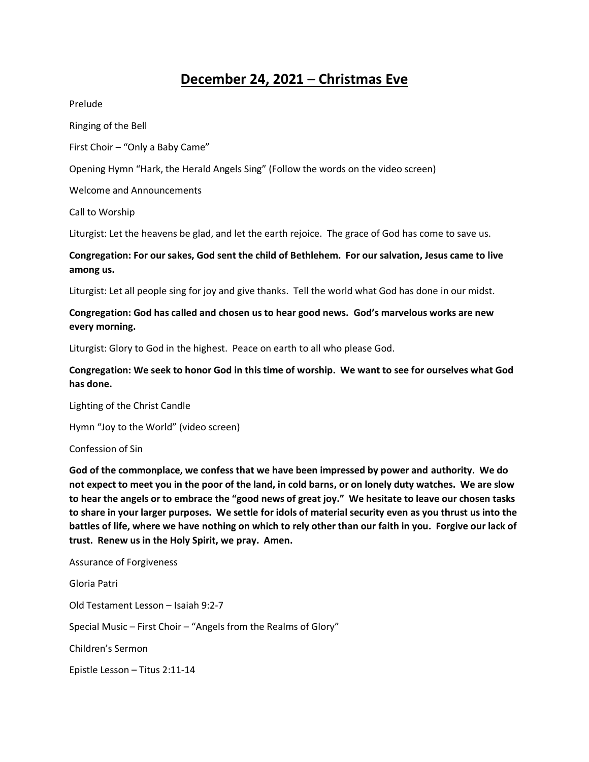## **December 24, 2021 – Christmas Eve**

Prelude

Ringing of the Bell

First Choir – "Only a Baby Came"

Opening Hymn "Hark, the Herald Angels Sing" (Follow the words on the video screen)

Welcome and Announcements

Call to Worship

Liturgist: Let the heavens be glad, and let the earth rejoice. The grace of God has come to save us.

**Congregation: For our sakes, God sent the child of Bethlehem. For our salvation, Jesus came to live among us.**

Liturgist: Let all people sing for joy and give thanks. Tell the world what God has done in our midst.

## **Congregation: God has called and chosen us to hear good news. God's marvelous works are new every morning.**

Liturgist: Glory to God in the highest. Peace on earth to all who please God.

**Congregation: We seek to honor God in this time of worship. We want to see for ourselves what God has done.** 

Lighting of the Christ Candle

Hymn "Joy to the World" (video screen)

Confession of Sin

**God of the commonplace, we confess that we have been impressed by power and authority. We do not expect to meet you in the poor of the land, in cold barns, or on lonely duty watches. We are slow to hear the angels or to embrace the "good news of great joy." We hesitate to leave our chosen tasks to share in your larger purposes. We settle for idols of material security even as you thrust us into the battles of life, where we have nothing on which to rely other than our faith in you. Forgive our lack of trust. Renew us in the Holy Spirit, we pray. Amen.** 

Assurance of Forgiveness Gloria Patri Old Testament Lesson – Isaiah 9:2-7 Special Music – First Choir – "Angels from the Realms of Glory" Children's Sermon Epistle Lesson – Titus 2:11-14